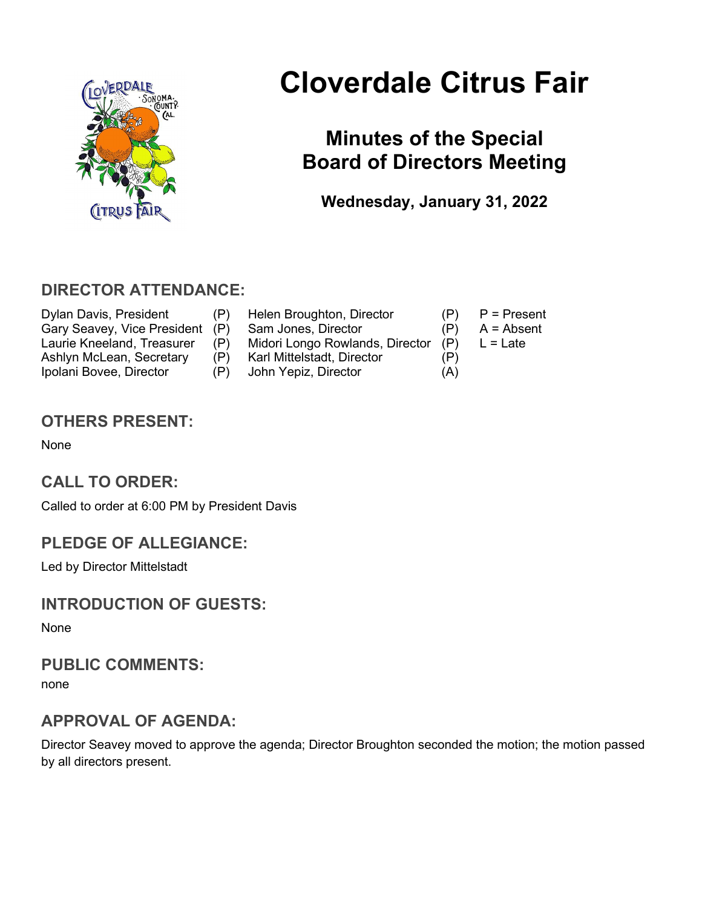

# Cloverdale Citrus Fair

# Minutes of the Special Board of Directors Meeting

Wednesday, January 31, 2022

# DIRECTOR ATTENDANCE:

Dylan Davis, President (P) Helen Broughton, Director (P) P = Present<br>Gary Seavey, Vice President (P) Sam Jones, Director (P) A = Absent Ipolani Bovee, Director (P) John Yepiz, Director (A)

- Gary Seavey, Vice President (P) Sam Jones, Director (P) Laurie Kneeland, Treasurer (P) Midori Longo Rowlands, Director (P) L = Late Ashlyn McLean, Secretary (P) Karl Mittelstadt, Director (P)
- -
	-

# OTHERS PRESENT:

None

# CALL TO ORDER:

Called to order at 6:00 PM by President Davis

# PLEDGE OF ALLEGIANCE:

Led by Director Mittelstadt

# INTRODUCTION OF GUESTS:

None

#### PUBLIC COMMENTS:

none

# APPROVAL OF AGENDA:

Director Seavey moved to approve the agenda; Director Broughton seconded the motion; the motion passed by all directors present.